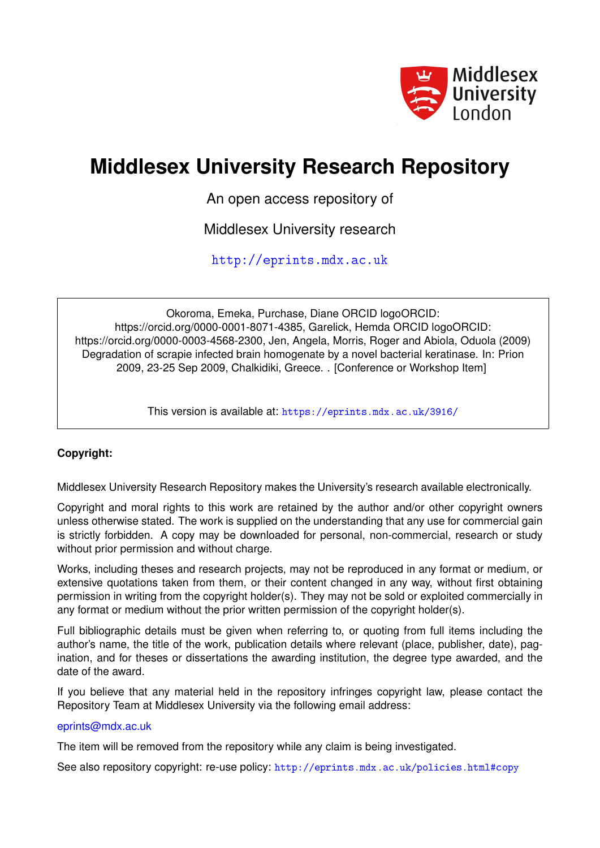

# **Middlesex University Research Repository**

An open access repository of

Middlesex University research

<http://eprints.mdx.ac.uk>

Okoroma, Emeka, Purchase, Diane ORCID logoORCID: https://orcid.org/0000-0001-8071-4385, Garelick, Hemda ORCID logoORCID: https://orcid.org/0000-0003-4568-2300, Jen, Angela, Morris, Roger and Abiola, Oduola (2009) Degradation of scrapie infected brain homogenate by a novel bacterial keratinase. In: Prion 2009, 23-25 Sep 2009, Chalkidiki, Greece. . [Conference or Workshop Item]

This version is available at: <https://eprints.mdx.ac.uk/3916/>

## **Copyright:**

Middlesex University Research Repository makes the University's research available electronically.

Copyright and moral rights to this work are retained by the author and/or other copyright owners unless otherwise stated. The work is supplied on the understanding that any use for commercial gain is strictly forbidden. A copy may be downloaded for personal, non-commercial, research or study without prior permission and without charge.

Works, including theses and research projects, may not be reproduced in any format or medium, or extensive quotations taken from them, or their content changed in any way, without first obtaining permission in writing from the copyright holder(s). They may not be sold or exploited commercially in any format or medium without the prior written permission of the copyright holder(s).

Full bibliographic details must be given when referring to, or quoting from full items including the author's name, the title of the work, publication details where relevant (place, publisher, date), pagination, and for theses or dissertations the awarding institution, the degree type awarded, and the date of the award.

If you believe that any material held in the repository infringes copyright law, please contact the Repository Team at Middlesex University via the following email address:

## [eprints@mdx.ac.uk](mailto:eprints@mdx.ac.uk)

The item will be removed from the repository while any claim is being investigated.

See also repository copyright: re-use policy: <http://eprints.mdx.ac.uk/policies.html#copy>